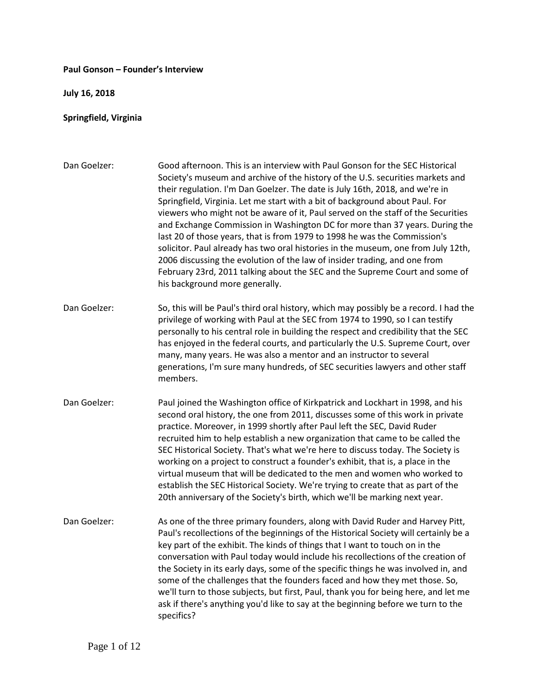## **Paul Gonson – Founder's Interview**

**July 16, 2018**

## **Springfield, Virginia**

| Dan Goelzer: | Good afternoon. This is an interview with Paul Gonson for the SEC Historical<br>Society's museum and archive of the history of the U.S. securities markets and<br>their regulation. I'm Dan Goelzer. The date is July 16th, 2018, and we're in<br>Springfield, Virginia. Let me start with a bit of background about Paul. For<br>viewers who might not be aware of it, Paul served on the staff of the Securities<br>and Exchange Commission in Washington DC for more than 37 years. During the<br>last 20 of those years, that is from 1979 to 1998 he was the Commission's<br>solicitor. Paul already has two oral histories in the museum, one from July 12th,<br>2006 discussing the evolution of the law of insider trading, and one from<br>February 23rd, 2011 talking about the SEC and the Supreme Court and some of<br>his background more generally. |
|--------------|-------------------------------------------------------------------------------------------------------------------------------------------------------------------------------------------------------------------------------------------------------------------------------------------------------------------------------------------------------------------------------------------------------------------------------------------------------------------------------------------------------------------------------------------------------------------------------------------------------------------------------------------------------------------------------------------------------------------------------------------------------------------------------------------------------------------------------------------------------------------|
| Dan Goelzer: | So, this will be Paul's third oral history, which may possibly be a record. I had the<br>privilege of working with Paul at the SEC from 1974 to 1990, so I can testify<br>personally to his central role in building the respect and credibility that the SEC<br>has enjoyed in the federal courts, and particularly the U.S. Supreme Court, over<br>many, many years. He was also a mentor and an instructor to several<br>generations, I'm sure many hundreds, of SEC securities lawyers and other staff<br>members.                                                                                                                                                                                                                                                                                                                                            |
| Dan Goelzer: | Paul joined the Washington office of Kirkpatrick and Lockhart in 1998, and his<br>second oral history, the one from 2011, discusses some of this work in private<br>practice. Moreover, in 1999 shortly after Paul left the SEC, David Ruder<br>recruited him to help establish a new organization that came to be called the<br>SEC Historical Society. That's what we're here to discuss today. The Society is<br>working on a project to construct a founder's exhibit, that is, a place in the<br>virtual museum that will be dedicated to the men and women who worked to<br>establish the SEC Historical Society. We're trying to create that as part of the<br>20th anniversary of the Society's birth, which we'll be marking next year.                                                                                                                  |
| Dan Goelzer: | As one of the three primary founders, along with David Ruder and Harvey Pitt,<br>Paul's recollections of the beginnings of the Historical Society will certainly be a<br>key part of the exhibit. The kinds of things that I want to touch on in the<br>conversation with Paul today would include his recollections of the creation of<br>the Society in its early days, some of the specific things he was involved in, and<br>some of the challenges that the founders faced and how they met those. So,<br>we'll turn to those subjects, but first, Paul, thank you for being here, and let me<br>ask if there's anything you'd like to say at the beginning before we turn to the<br>specifics?                                                                                                                                                              |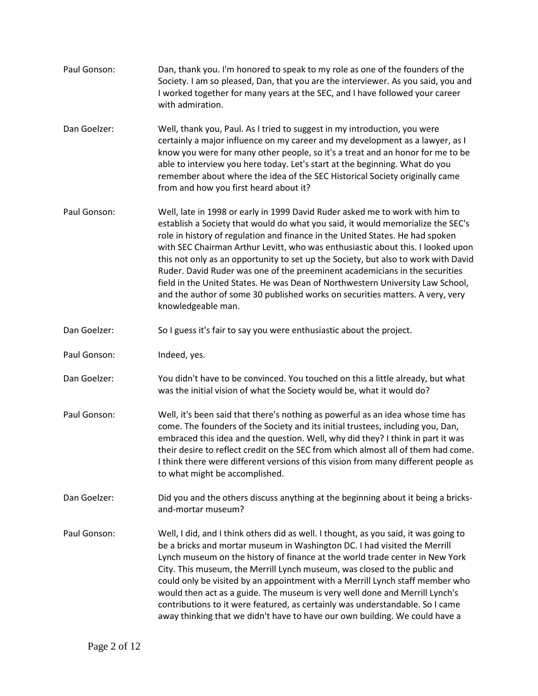Paul Gonson: Dan, thank you. I'm honored to speak to my role as one of the founders of the Society. I am so pleased, Dan, that you are the interviewer. As you said, you and I worked together for many years at the SEC, and I have followed your career with admiration. Dan Goelzer: Well, thank you, Paul. As I tried to suggest in my introduction, you were certainly a major influence on my career and my development as a lawyer, as I know you were for many other people, so it's a treat and an honor for me to be able to interview you here today. Let's start at the beginning. What do you remember about where the idea of the SEC Historical Society originally came from and how you first heard about it? Paul Gonson: Well, late in 1998 or early in 1999 David Ruder asked me to work with him to establish a Society that would do what you said, it would memorialize the SEC's role in history of regulation and finance in the United States. He had spoken with SEC Chairman Arthur Levitt, who was enthusiastic about this. I looked upon this not only as an opportunity to set up the Society, but also to work with David Ruder. David Ruder was one of the preeminent academicians in the securities field in the United States. He was Dean of Northwestern University Law School, and the author of some 30 published works on securities matters. A very, very knowledgeable man. Dan Goelzer: So I guess it's fair to say you were enthusiastic about the project. Paul Gonson: Indeed, yes. Dan Goelzer: You didn't have to be convinced. You touched on this a little already, but what was the initial vision of what the Society would be, what it would do? Paul Gonson: Well, it's been said that there's nothing as powerful as an idea whose time has come. The founders of the Society and its initial trustees, including you, Dan, embraced this idea and the question. Well, why did they? I think in part it was their desire to reflect credit on the SEC from which almost all of them had come. I think there were different versions of this vision from many different people as to what might be accomplished. Dan Goelzer: Did you and the others discuss anything at the beginning about it being a bricksand-mortar museum? Paul Gonson: Well, I did, and I think others did as well. I thought, as you said, it was going to be a bricks and mortar museum in Washington DC. I had visited the Merrill Lynch museum on the history of finance at the world trade center in New York City. This museum, the Merrill Lynch museum, was closed to the public and could only be visited by an appointment with a Merrill Lynch staff member who would then act as a guide. The museum is very well done and Merrill Lynch's contributions to it were featured, as certainly was understandable. So I came away thinking that we didn't have to have our own building. We could have a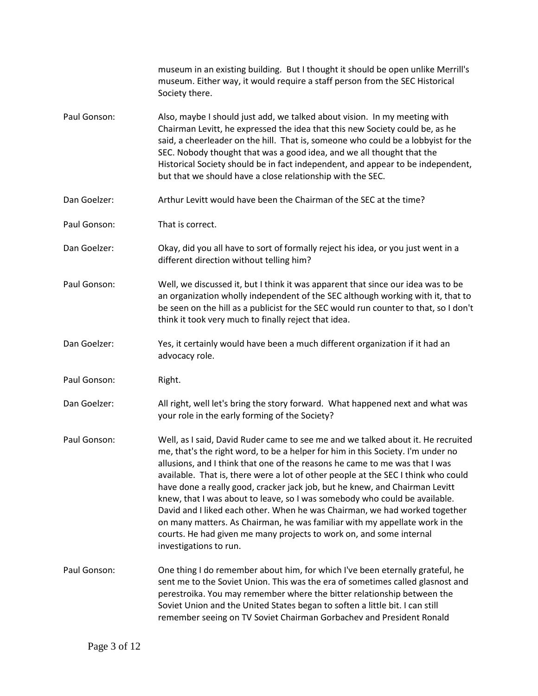|              | museum in an existing building. But I thought it should be open unlike Merrill's<br>museum. Either way, it would require a staff person from the SEC Historical<br>Society there.                                                                                                                                                                                                                                                                                                                                                                                                                                                                                                                                                                                  |
|--------------|--------------------------------------------------------------------------------------------------------------------------------------------------------------------------------------------------------------------------------------------------------------------------------------------------------------------------------------------------------------------------------------------------------------------------------------------------------------------------------------------------------------------------------------------------------------------------------------------------------------------------------------------------------------------------------------------------------------------------------------------------------------------|
| Paul Gonson: | Also, maybe I should just add, we talked about vision. In my meeting with<br>Chairman Levitt, he expressed the idea that this new Society could be, as he<br>said, a cheerleader on the hill. That is, someone who could be a lobbyist for the<br>SEC. Nobody thought that was a good idea, and we all thought that the<br>Historical Society should be in fact independent, and appear to be independent,<br>but that we should have a close relationship with the SEC.                                                                                                                                                                                                                                                                                           |
| Dan Goelzer: | Arthur Levitt would have been the Chairman of the SEC at the time?                                                                                                                                                                                                                                                                                                                                                                                                                                                                                                                                                                                                                                                                                                 |
| Paul Gonson: | That is correct.                                                                                                                                                                                                                                                                                                                                                                                                                                                                                                                                                                                                                                                                                                                                                   |
| Dan Goelzer: | Okay, did you all have to sort of formally reject his idea, or you just went in a<br>different direction without telling him?                                                                                                                                                                                                                                                                                                                                                                                                                                                                                                                                                                                                                                      |
| Paul Gonson: | Well, we discussed it, but I think it was apparent that since our idea was to be<br>an organization wholly independent of the SEC although working with it, that to<br>be seen on the hill as a publicist for the SEC would run counter to that, so I don't<br>think it took very much to finally reject that idea.                                                                                                                                                                                                                                                                                                                                                                                                                                                |
| Dan Goelzer: | Yes, it certainly would have been a much different organization if it had an<br>advocacy role.                                                                                                                                                                                                                                                                                                                                                                                                                                                                                                                                                                                                                                                                     |
| Paul Gonson: | Right.                                                                                                                                                                                                                                                                                                                                                                                                                                                                                                                                                                                                                                                                                                                                                             |
| Dan Goelzer: | All right, well let's bring the story forward. What happened next and what was<br>your role in the early forming of the Society?                                                                                                                                                                                                                                                                                                                                                                                                                                                                                                                                                                                                                                   |
| Paul Gonson: | Well, as I said, David Ruder came to see me and we talked about it. He recruited<br>me, that's the right word, to be a helper for him in this Society. I'm under no<br>allusions, and I think that one of the reasons he came to me was that I was<br>available. That is, there were a lot of other people at the SEC I think who could<br>have done a really good, cracker jack job, but he knew, and Chairman Levitt<br>knew, that I was about to leave, so I was somebody who could be available.<br>David and I liked each other. When he was Chairman, we had worked together<br>on many matters. As Chairman, he was familiar with my appellate work in the<br>courts. He had given me many projects to work on, and some internal<br>investigations to run. |
| Paul Gonson: | One thing I do remember about him, for which I've been eternally grateful, he<br>sent me to the Soviet Union. This was the era of sometimes called glasnost and<br>perestroika. You may remember where the bitter relationship between the<br>Soviet Union and the United States began to soften a little bit. I can still<br>remember seeing on TV Soviet Chairman Gorbachev and President Ronald                                                                                                                                                                                                                                                                                                                                                                 |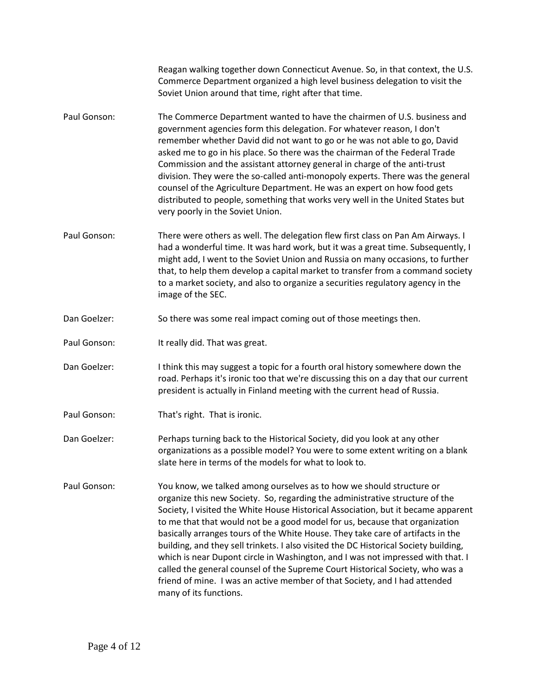Reagan walking together down Connecticut Avenue. So, in that context, the U.S. Commerce Department organized a high level business delegation to visit the Soviet Union around that time, right after that time.

- Paul Gonson: The Commerce Department wanted to have the chairmen of U.S. business and government agencies form this delegation. For whatever reason, I don't remember whether David did not want to go or he was not able to go, David asked me to go in his place. So there was the chairman of the Federal Trade Commission and the assistant attorney general in charge of the anti-trust division. They were the so-called anti-monopoly experts. There was the general counsel of the Agriculture Department. He was an expert on how food gets distributed to people, something that works very well in the United States but very poorly in the Soviet Union.
- Paul Gonson: There were others as well. The delegation flew first class on Pan Am Airways. I had a wonderful time. It was hard work, but it was a great time. Subsequently, I might add, I went to the Soviet Union and Russia on many occasions, to further that, to help them develop a capital market to transfer from a command society to a market society, and also to organize a securities regulatory agency in the image of the SEC.
- Dan Goelzer: So there was some real impact coming out of those meetings then.
- Paul Gonson: It really did. That was great.
- Dan Goelzer: I think this may suggest a topic for a fourth oral history somewhere down the road. Perhaps it's ironic too that we're discussing this on a day that our current president is actually in Finland meeting with the current head of Russia.
- Paul Gonson: That's right. That is ironic.
- Dan Goelzer: Perhaps turning back to the Historical Society, did you look at any other organizations as a possible model? You were to some extent writing on a blank slate here in terms of the models for what to look to.
- Paul Gonson: You know, we talked among ourselves as to how we should structure or organize this new Society. So, regarding the administrative structure of the Society, I visited the White House Historical Association, but it became apparent to me that that would not be a good model for us, because that organization basically arranges tours of the White House. They take care of artifacts in the building, and they sell trinkets. I also visited the DC Historical Society building, which is near Dupont circle in Washington, and I was not impressed with that. I called the general counsel of the Supreme Court Historical Society, who was a friend of mine. I was an active member of that Society, and I had attended many of its functions.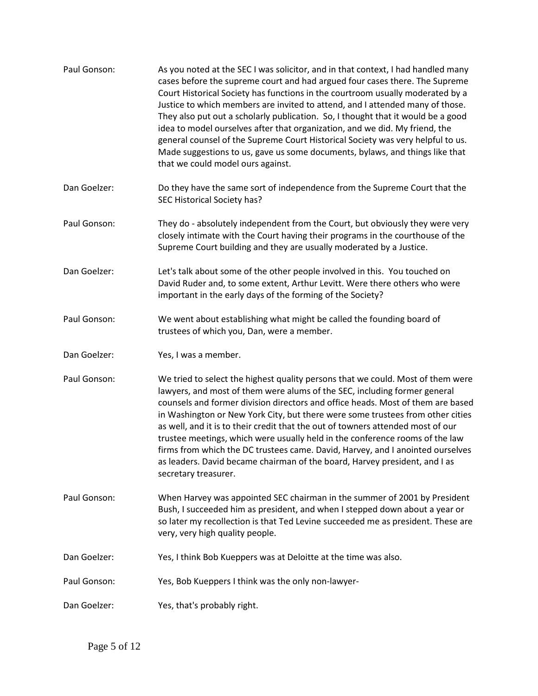| Paul Gonson: | As you noted at the SEC I was solicitor, and in that context, I had handled many<br>cases before the supreme court and had argued four cases there. The Supreme<br>Court Historical Society has functions in the courtroom usually moderated by a<br>Justice to which members are invited to attend, and I attended many of those.<br>They also put out a scholarly publication. So, I thought that it would be a good<br>idea to model ourselves after that organization, and we did. My friend, the<br>general counsel of the Supreme Court Historical Society was very helpful to us.<br>Made suggestions to us, gave us some documents, bylaws, and things like that<br>that we could model ours against. |
|--------------|---------------------------------------------------------------------------------------------------------------------------------------------------------------------------------------------------------------------------------------------------------------------------------------------------------------------------------------------------------------------------------------------------------------------------------------------------------------------------------------------------------------------------------------------------------------------------------------------------------------------------------------------------------------------------------------------------------------|
| Dan Goelzer: | Do they have the same sort of independence from the Supreme Court that the<br>SEC Historical Society has?                                                                                                                                                                                                                                                                                                                                                                                                                                                                                                                                                                                                     |
| Paul Gonson: | They do - absolutely independent from the Court, but obviously they were very<br>closely intimate with the Court having their programs in the courthouse of the<br>Supreme Court building and they are usually moderated by a Justice.                                                                                                                                                                                                                                                                                                                                                                                                                                                                        |
| Dan Goelzer: | Let's talk about some of the other people involved in this. You touched on<br>David Ruder and, to some extent, Arthur Levitt. Were there others who were<br>important in the early days of the forming of the Society?                                                                                                                                                                                                                                                                                                                                                                                                                                                                                        |
| Paul Gonson: | We went about establishing what might be called the founding board of<br>trustees of which you, Dan, were a member.                                                                                                                                                                                                                                                                                                                                                                                                                                                                                                                                                                                           |
| Dan Goelzer: | Yes, I was a member.                                                                                                                                                                                                                                                                                                                                                                                                                                                                                                                                                                                                                                                                                          |
| Paul Gonson: | We tried to select the highest quality persons that we could. Most of them were<br>lawyers, and most of them were alums of the SEC, including former general<br>counsels and former division directors and office heads. Most of them are based<br>in Washington or New York City, but there were some trustees from other cities<br>as well, and it is to their credit that the out of towners attended most of our<br>trustee meetings, which were usually held in the conference rooms of the law<br>firms from which the DC trustees came. David, Harvey, and I anointed ourselves<br>as leaders. David became chairman of the board, Harvey president, and I as<br>secretary treasurer.                  |
| Paul Gonson: | When Harvey was appointed SEC chairman in the summer of 2001 by President<br>Bush, I succeeded him as president, and when I stepped down about a year or<br>so later my recollection is that Ted Levine succeeded me as president. These are<br>very, very high quality people.                                                                                                                                                                                                                                                                                                                                                                                                                               |
| Dan Goelzer: | Yes, I think Bob Kueppers was at Deloitte at the time was also.                                                                                                                                                                                                                                                                                                                                                                                                                                                                                                                                                                                                                                               |
| Paul Gonson: | Yes, Bob Kueppers I think was the only non-lawyer-                                                                                                                                                                                                                                                                                                                                                                                                                                                                                                                                                                                                                                                            |
| Dan Goelzer: | Yes, that's probably right.                                                                                                                                                                                                                                                                                                                                                                                                                                                                                                                                                                                                                                                                                   |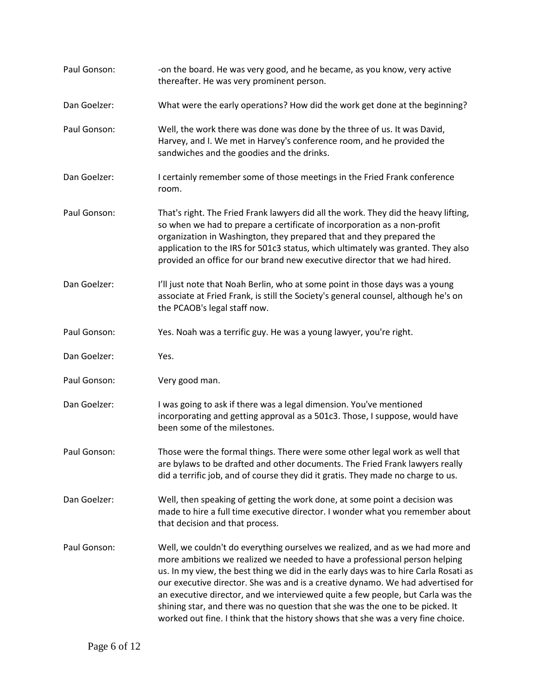| Paul Gonson: | -on the board. He was very good, and he became, as you know, very active<br>thereafter. He was very prominent person.                                                                                                                                                                                                                                                                                                                                                                                                                                                                         |
|--------------|-----------------------------------------------------------------------------------------------------------------------------------------------------------------------------------------------------------------------------------------------------------------------------------------------------------------------------------------------------------------------------------------------------------------------------------------------------------------------------------------------------------------------------------------------------------------------------------------------|
| Dan Goelzer: | What were the early operations? How did the work get done at the beginning?                                                                                                                                                                                                                                                                                                                                                                                                                                                                                                                   |
| Paul Gonson: | Well, the work there was done was done by the three of us. It was David,<br>Harvey, and I. We met in Harvey's conference room, and he provided the<br>sandwiches and the goodies and the drinks.                                                                                                                                                                                                                                                                                                                                                                                              |
| Dan Goelzer: | I certainly remember some of those meetings in the Fried Frank conference<br>room.                                                                                                                                                                                                                                                                                                                                                                                                                                                                                                            |
| Paul Gonson: | That's right. The Fried Frank lawyers did all the work. They did the heavy lifting,<br>so when we had to prepare a certificate of incorporation as a non-profit<br>organization in Washington, they prepared that and they prepared the<br>application to the IRS for 501c3 status, which ultimately was granted. They also<br>provided an office for our brand new executive director that we had hired.                                                                                                                                                                                     |
| Dan Goelzer: | I'll just note that Noah Berlin, who at some point in those days was a young<br>associate at Fried Frank, is still the Society's general counsel, although he's on<br>the PCAOB's legal staff now.                                                                                                                                                                                                                                                                                                                                                                                            |
| Paul Gonson: | Yes. Noah was a terrific guy. He was a young lawyer, you're right.                                                                                                                                                                                                                                                                                                                                                                                                                                                                                                                            |
| Dan Goelzer: | Yes.                                                                                                                                                                                                                                                                                                                                                                                                                                                                                                                                                                                          |
| Paul Gonson: | Very good man.                                                                                                                                                                                                                                                                                                                                                                                                                                                                                                                                                                                |
| Dan Goelzer: | I was going to ask if there was a legal dimension. You've mentioned<br>incorporating and getting approval as a 501c3. Those, I suppose, would have<br>been some of the milestones.                                                                                                                                                                                                                                                                                                                                                                                                            |
| Paul Gonson: | Those were the formal things. There were some other legal work as well that<br>are bylaws to be drafted and other documents. The Fried Frank lawyers really<br>did a terrific job, and of course they did it gratis. They made no charge to us.                                                                                                                                                                                                                                                                                                                                               |
| Dan Goelzer: | Well, then speaking of getting the work done, at some point a decision was<br>made to hire a full time executive director. I wonder what you remember about<br>that decision and that process.                                                                                                                                                                                                                                                                                                                                                                                                |
| Paul Gonson: | Well, we couldn't do everything ourselves we realized, and as we had more and<br>more ambitions we realized we needed to have a professional person helping<br>us. In my view, the best thing we did in the early days was to hire Carla Rosati as<br>our executive director. She was and is a creative dynamo. We had advertised for<br>an executive director, and we interviewed quite a few people, but Carla was the<br>shining star, and there was no question that she was the one to be picked. It<br>worked out fine. I think that the history shows that she was a very fine choice. |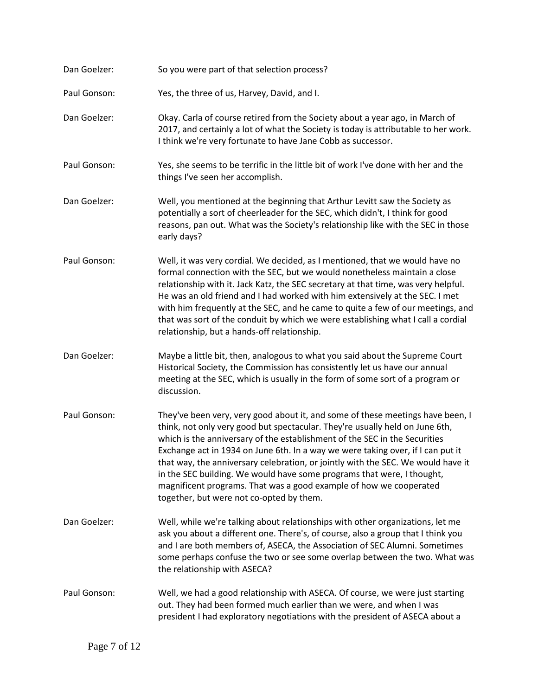Dan Goelzer: So you were part of that selection process? Paul Gonson: Yes, the three of us, Harvey, David, and I. Dan Goelzer: Okay. Carla of course retired from the Society about a year ago, in March of 2017, and certainly a lot of what the Society is today is attributable to her work. I think we're very fortunate to have Jane Cobb as successor. Paul Gonson: Yes, she seems to be terrific in the little bit of work I've done with her and the things I've seen her accomplish. Dan Goelzer: Well, you mentioned at the beginning that Arthur Levitt saw the Society as potentially a sort of cheerleader for the SEC, which didn't, I think for good reasons, pan out. What was the Society's relationship like with the SEC in those early days? Paul Gonson: Well, it was very cordial. We decided, as I mentioned, that we would have no formal connection with the SEC, but we would nonetheless maintain a close relationship with it. Jack Katz, the SEC secretary at that time, was very helpful. He was an old friend and I had worked with him extensively at the SEC. I met with him frequently at the SEC, and he came to quite a few of our meetings, and that was sort of the conduit by which we were establishing what I call a cordial relationship, but a hands-off relationship. Dan Goelzer: Maybe a little bit, then, analogous to what you said about the Supreme Court Historical Society, the Commission has consistently let us have our annual meeting at the SEC, which is usually in the form of some sort of a program or discussion. Paul Gonson: They've been very, very good about it, and some of these meetings have been, I think, not only very good but spectacular. They're usually held on June 6th, which is the anniversary of the establishment of the SEC in the Securities Exchange act in 1934 on June 6th. In a way we were taking over, if I can put it that way, the anniversary celebration, or jointly with the SEC. We would have it in the SEC building. We would have some programs that were, I thought, magnificent programs. That was a good example of how we cooperated together, but were not co-opted by them. Dan Goelzer: Well, while we're talking about relationships with other organizations, let me ask you about a different one. There's, of course, also a group that I think you and I are both members of, ASECA, the Association of SEC Alumni. Sometimes some perhaps confuse the two or see some overlap between the two. What was the relationship with ASECA? Paul Gonson: Well, we had a good relationship with ASECA. Of course, we were just starting out. They had been formed much earlier than we were, and when I was president I had exploratory negotiations with the president of ASECA about a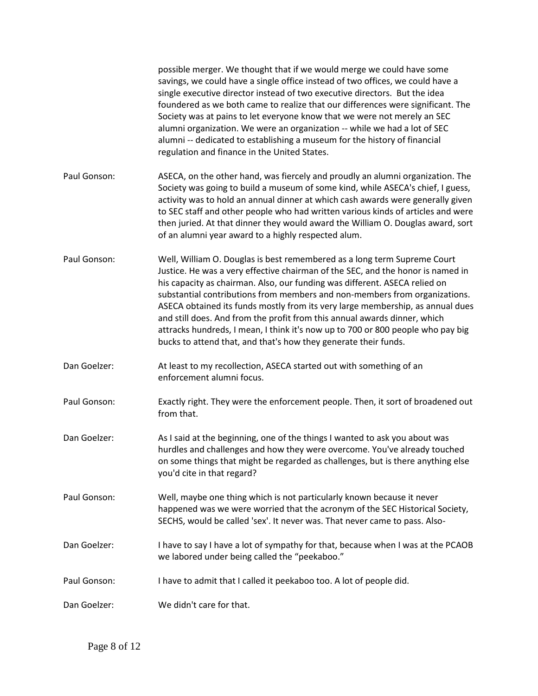|              | possible merger. We thought that if we would merge we could have some<br>savings, we could have a single office instead of two offices, we could have a<br>single executive director instead of two executive directors. But the idea<br>foundered as we both came to realize that our differences were significant. The<br>Society was at pains to let everyone know that we were not merely an SEC<br>alumni organization. We were an organization -- while we had a lot of SEC<br>alumni -- dedicated to establishing a museum for the history of financial<br>regulation and finance in the United States.                               |
|--------------|----------------------------------------------------------------------------------------------------------------------------------------------------------------------------------------------------------------------------------------------------------------------------------------------------------------------------------------------------------------------------------------------------------------------------------------------------------------------------------------------------------------------------------------------------------------------------------------------------------------------------------------------|
| Paul Gonson: | ASECA, on the other hand, was fiercely and proudly an alumni organization. The<br>Society was going to build a museum of some kind, while ASECA's chief, I guess,<br>activity was to hold an annual dinner at which cash awards were generally given<br>to SEC staff and other people who had written various kinds of articles and were<br>then juried. At that dinner they would award the William O. Douglas award, sort<br>of an alumni year award to a highly respected alum.                                                                                                                                                           |
| Paul Gonson: | Well, William O. Douglas is best remembered as a long term Supreme Court<br>Justice. He was a very effective chairman of the SEC, and the honor is named in<br>his capacity as chairman. Also, our funding was different. ASECA relied on<br>substantial contributions from members and non-members from organizations.<br>ASECA obtained its funds mostly from its very large membership, as annual dues<br>and still does. And from the profit from this annual awards dinner, which<br>attracks hundreds, I mean, I think it's now up to 700 or 800 people who pay big<br>bucks to attend that, and that's how they generate their funds. |
| Dan Goelzer: | At least to my recollection, ASECA started out with something of an<br>enforcement alumni focus.                                                                                                                                                                                                                                                                                                                                                                                                                                                                                                                                             |
| Paul Gonson: | Exactly right. They were the enforcement people. Then, it sort of broadened out<br>from that.                                                                                                                                                                                                                                                                                                                                                                                                                                                                                                                                                |
| Dan Goelzer: | As I said at the beginning, one of the things I wanted to ask you about was<br>hurdles and challenges and how they were overcome. You've already touched<br>on some things that might be regarded as challenges, but is there anything else<br>you'd cite in that regard?                                                                                                                                                                                                                                                                                                                                                                    |
| Paul Gonson: | Well, maybe one thing which is not particularly known because it never<br>happened was we were worried that the acronym of the SEC Historical Society,<br>SECHS, would be called 'sex'. It never was. That never came to pass. Also-                                                                                                                                                                                                                                                                                                                                                                                                         |
| Dan Goelzer: | I have to say I have a lot of sympathy for that, because when I was at the PCAOB<br>we labored under being called the "peekaboo."                                                                                                                                                                                                                                                                                                                                                                                                                                                                                                            |
| Paul Gonson: | I have to admit that I called it peekaboo too. A lot of people did.                                                                                                                                                                                                                                                                                                                                                                                                                                                                                                                                                                          |
| Dan Goelzer: | We didn't care for that.                                                                                                                                                                                                                                                                                                                                                                                                                                                                                                                                                                                                                     |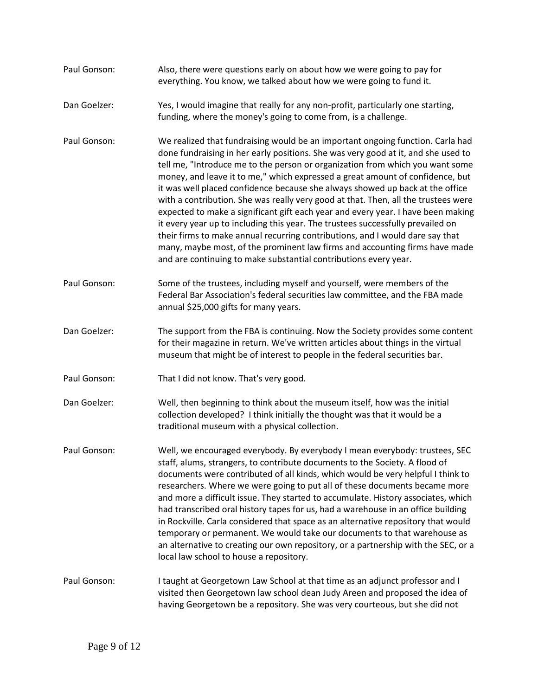- Paul Gonson: Also, there were questions early on about how we were going to pay for everything. You know, we talked about how we were going to fund it.
- Dan Goelzer: Yes, I would imagine that really for any non-profit, particularly one starting, funding, where the money's going to come from, is a challenge.
- Paul Gonson: We realized that fundraising would be an important ongoing function. Carla had done fundraising in her early positions. She was very good at it, and she used to tell me, "Introduce me to the person or organization from which you want some money, and leave it to me," which expressed a great amount of confidence, but it was well placed confidence because she always showed up back at the office with a contribution. She was really very good at that. Then, all the trustees were expected to make a significant gift each year and every year. I have been making it every year up to including this year. The trustees successfully prevailed on their firms to make annual recurring contributions, and I would dare say that many, maybe most, of the prominent law firms and accounting firms have made and are continuing to make substantial contributions every year.
- Paul Gonson: Some of the trustees, including myself and yourself, were members of the Federal Bar Association's federal securities law committee, and the FBA made annual \$25,000 gifts for many years.
- Dan Goelzer: The support from the FBA is continuing. Now the Society provides some content for their magazine in return. We've written articles about things in the virtual museum that might be of interest to people in the federal securities bar.
- Paul Gonson: That I did not know. That's very good.
- Dan Goelzer: Well, then beginning to think about the museum itself, how was the initial collection developed? I think initially the thought was that it would be a traditional museum with a physical collection.
- Paul Gonson: Well, we encouraged everybody. By everybody I mean everybody: trustees, SEC staff, alums, strangers, to contribute documents to the Society. A flood of documents were contributed of all kinds, which would be very helpful I think to researchers. Where we were going to put all of these documents became more and more a difficult issue. They started to accumulate. History associates, which had transcribed oral history tapes for us, had a warehouse in an office building in Rockville. Carla considered that space as an alternative repository that would temporary or permanent. We would take our documents to that warehouse as an alternative to creating our own repository, or a partnership with the SEC, or a local law school to house a repository.
- Paul Gonson: I taught at Georgetown Law School at that time as an adjunct professor and I visited then Georgetown law school dean Judy Areen and proposed the idea of having Georgetown be a repository. She was very courteous, but she did not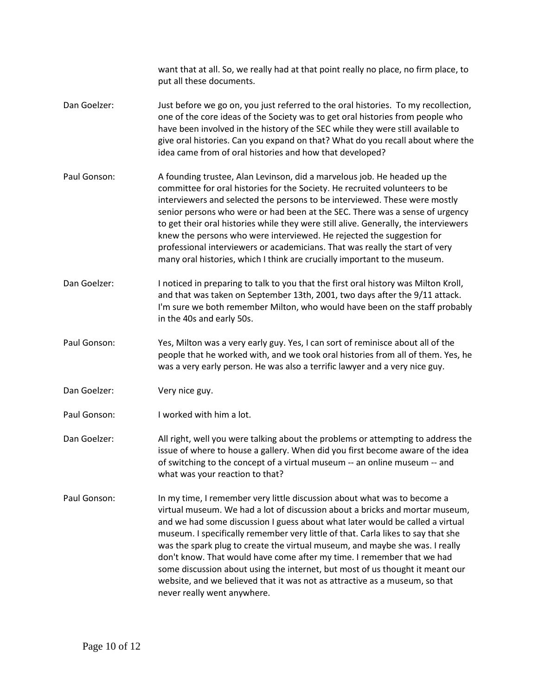want that at all. So, we really had at that point really no place, no firm place, to put all these documents. Dan Goelzer: Just before we go on, you just referred to the oral histories. To my recollection, one of the core ideas of the Society was to get oral histories from people who have been involved in the history of the SEC while they were still available to give oral histories. Can you expand on that? What do you recall about where the idea came from of oral histories and how that developed? Paul Gonson: A founding trustee, Alan Levinson, did a marvelous job. He headed up the committee for oral histories for the Society. He recruited volunteers to be interviewers and selected the persons to be interviewed. These were mostly senior persons who were or had been at the SEC. There was a sense of urgency to get their oral histories while they were still alive. Generally, the interviewers knew the persons who were interviewed. He rejected the suggestion for professional interviewers or academicians. That was really the start of very many oral histories, which I think are crucially important to the museum. Dan Goelzer: I noticed in preparing to talk to you that the first oral history was Milton Kroll, and that was taken on September 13th, 2001, two days after the 9/11 attack. I'm sure we both remember Milton, who would have been on the staff probably in the 40s and early 50s. Paul Gonson: Yes, Milton was a very early guy. Yes, I can sort of reminisce about all of the people that he worked with, and we took oral histories from all of them. Yes, he was a very early person. He was also a terrific lawyer and a very nice guy. Dan Goelzer: Very nice guy. Paul Gonson: I worked with him a lot. Dan Goelzer: All right, well you were talking about the problems or attempting to address the issue of where to house a gallery. When did you first become aware of the idea of switching to the concept of a virtual museum -- an online museum -- and what was your reaction to that? Paul Gonson: In my time, I remember very little discussion about what was to become a virtual museum. We had a lot of discussion about a bricks and mortar museum, and we had some discussion I guess about what later would be called a virtual museum. I specifically remember very little of that. Carla likes to say that she was the spark plug to create the virtual museum, and maybe she was. I really don't know. That would have come after my time. I remember that we had some discussion about using the internet, but most of us thought it meant our website, and we believed that it was not as attractive as a museum, so that never really went anywhere.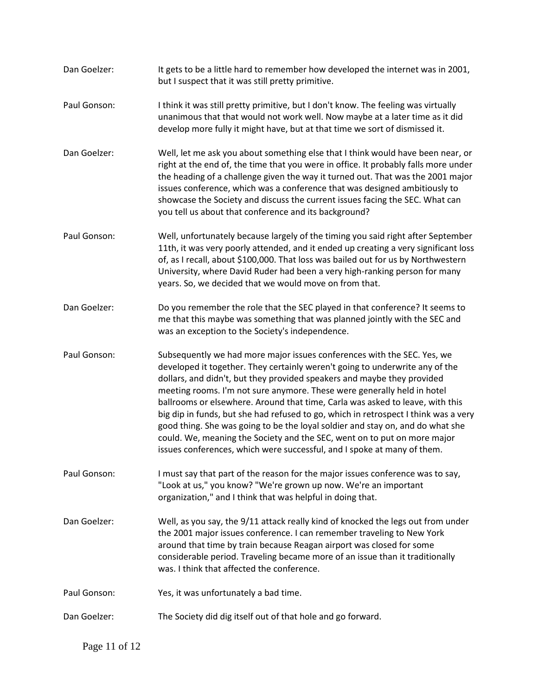| Dan Goelzer: | It gets to be a little hard to remember how developed the internet was in 2001,<br>but I suspect that it was still pretty primitive.                                                                                                                                                                                                                                                                                                                                                                                                                                                                                                                                                                                           |
|--------------|--------------------------------------------------------------------------------------------------------------------------------------------------------------------------------------------------------------------------------------------------------------------------------------------------------------------------------------------------------------------------------------------------------------------------------------------------------------------------------------------------------------------------------------------------------------------------------------------------------------------------------------------------------------------------------------------------------------------------------|
| Paul Gonson: | I think it was still pretty primitive, but I don't know. The feeling was virtually<br>unanimous that that would not work well. Now maybe at a later time as it did<br>develop more fully it might have, but at that time we sort of dismissed it.                                                                                                                                                                                                                                                                                                                                                                                                                                                                              |
| Dan Goelzer: | Well, let me ask you about something else that I think would have been near, or<br>right at the end of, the time that you were in office. It probably falls more under<br>the heading of a challenge given the way it turned out. That was the 2001 major<br>issues conference, which was a conference that was designed ambitiously to<br>showcase the Society and discuss the current issues facing the SEC. What can<br>you tell us about that conference and its background?                                                                                                                                                                                                                                               |
| Paul Gonson: | Well, unfortunately because largely of the timing you said right after September<br>11th, it was very poorly attended, and it ended up creating a very significant loss<br>of, as I recall, about \$100,000. That loss was bailed out for us by Northwestern<br>University, where David Ruder had been a very high-ranking person for many<br>years. So, we decided that we would move on from that.                                                                                                                                                                                                                                                                                                                           |
| Dan Goelzer: | Do you remember the role that the SEC played in that conference? It seems to<br>me that this maybe was something that was planned jointly with the SEC and<br>was an exception to the Society's independence.                                                                                                                                                                                                                                                                                                                                                                                                                                                                                                                  |
| Paul Gonson: | Subsequently we had more major issues conferences with the SEC. Yes, we<br>developed it together. They certainly weren't going to underwrite any of the<br>dollars, and didn't, but they provided speakers and maybe they provided<br>meeting rooms. I'm not sure anymore. These were generally held in hotel<br>ballrooms or elsewhere. Around that time, Carla was asked to leave, with this<br>big dip in funds, but she had refused to go, which in retrospect I think was a very<br>good thing. She was going to be the loyal soldier and stay on, and do what she<br>could. We, meaning the Society and the SEC, went on to put on more major<br>issues conferences, which were successful, and I spoke at many of them. |
| Paul Gonson: | I must say that part of the reason for the major issues conference was to say,<br>"Look at us," you know? "We're grown up now. We're an important<br>organization," and I think that was helpful in doing that.                                                                                                                                                                                                                                                                                                                                                                                                                                                                                                                |
| Dan Goelzer: | Well, as you say, the 9/11 attack really kind of knocked the legs out from under<br>the 2001 major issues conference. I can remember traveling to New York<br>around that time by train because Reagan airport was closed for some<br>considerable period. Traveling became more of an issue than it traditionally<br>was. I think that affected the conference.                                                                                                                                                                                                                                                                                                                                                               |
| Paul Gonson: | Yes, it was unfortunately a bad time.                                                                                                                                                                                                                                                                                                                                                                                                                                                                                                                                                                                                                                                                                          |
| Dan Goelzer: | The Society did dig itself out of that hole and go forward.                                                                                                                                                                                                                                                                                                                                                                                                                                                                                                                                                                                                                                                                    |

Page 11 of 12